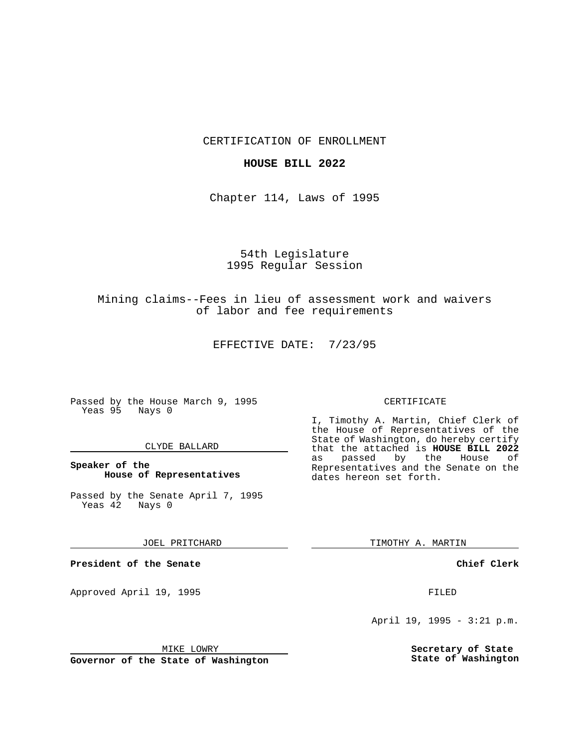CERTIFICATION OF ENROLLMENT

## **HOUSE BILL 2022**

Chapter 114, Laws of 1995

54th Legislature 1995 Regular Session

Mining claims--Fees in lieu of assessment work and waivers of labor and fee requirements

EFFECTIVE DATE: 7/23/95

Passed by the House March 9, 1995 Yeas 95 Nays 0

## CLYDE BALLARD

**Speaker of the House of Representatives**

Passed by the Senate April 7, 1995 Yeas 42 Nays 0

JOEL PRITCHARD

**President of the Senate**

Approved April 19, 1995 FILED

## MIKE LOWRY

**Governor of the State of Washington**

#### CERTIFICATE

I, Timothy A. Martin, Chief Clerk of the House of Representatives of the State of Washington, do hereby certify that the attached is **HOUSE BILL 2022** as passed by the Representatives and the Senate on the dates hereon set forth.

TIMOTHY A. MARTIN

## **Chief Clerk**

April 19, 1995 - 3:21 p.m.

**Secretary of State State of Washington**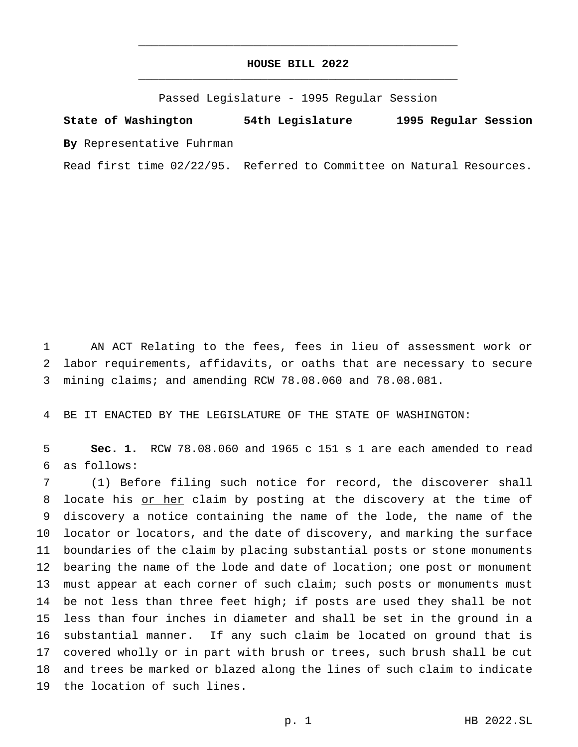## **HOUSE BILL 2022** \_\_\_\_\_\_\_\_\_\_\_\_\_\_\_\_\_\_\_\_\_\_\_\_\_\_\_\_\_\_\_\_\_\_\_\_\_\_\_\_\_\_\_\_\_\_\_

\_\_\_\_\_\_\_\_\_\_\_\_\_\_\_\_\_\_\_\_\_\_\_\_\_\_\_\_\_\_\_\_\_\_\_\_\_\_\_\_\_\_\_\_\_\_\_

Passed Legislature - 1995 Regular Session

# **State of Washington 54th Legislature 1995 Regular Session**

**By** Representative Fuhrman

Read first time 02/22/95. Referred to Committee on Natural Resources.

 AN ACT Relating to the fees, fees in lieu of assessment work or labor requirements, affidavits, or oaths that are necessary to secure mining claims; and amending RCW 78.08.060 and 78.08.081.

BE IT ENACTED BY THE LEGISLATURE OF THE STATE OF WASHINGTON:

 **Sec. 1.** RCW 78.08.060 and 1965 c 151 s 1 are each amended to read as follows:

 (1) Before filing such notice for record, the discoverer shall 8 locate his or her claim by posting at the discovery at the time of discovery a notice containing the name of the lode, the name of the locator or locators, and the date of discovery, and marking the surface boundaries of the claim by placing substantial posts or stone monuments 12 bearing the name of the lode and date of location; one post or monument must appear at each corner of such claim; such posts or monuments must be not less than three feet high; if posts are used they shall be not less than four inches in diameter and shall be set in the ground in a substantial manner. If any such claim be located on ground that is covered wholly or in part with brush or trees, such brush shall be cut and trees be marked or blazed along the lines of such claim to indicate the location of such lines.